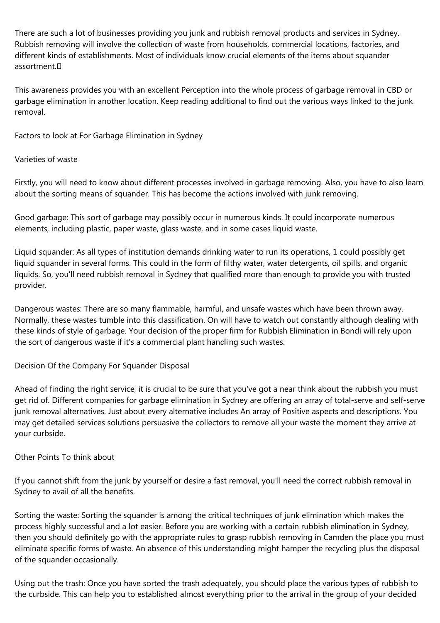There are such a lot of businesses providing you junk and rubbish removal products and services in Sydney. Rubbish removing will involve the collection of waste from households, commercial locations, factories, and different kinds of establishments. Most of individuals know crucial elements of the items about squander assortment.

This awareness provides you with an excellent Perception into the whole process of garbage removal in CBD or garbage elimination in another location. Keep reading additional to find out the various ways linked to the junk removal.

Factors to look at For Garbage Elimination in Sydney

# Varieties of waste

Firstly, you will need to know about different processes involved in garbage removing. Also, you have to also learn about the sorting means of squander. This has become the actions involved with junk removing.

Good garbage: This sort of garbage may possibly occur in numerous kinds. It could incorporate numerous elements, including plastic, paper waste, glass waste, and in some cases liquid waste.

Liquid squander: As all types of institution demands drinking water to run its operations, 1 could possibly get liquid squander in several forms. This could in the form of filthy water, water detergents, oil spills, and organic liquids. So, you'll need rubbish removal in Sydney that qualified more than enough to provide you with trusted provider.

Dangerous wastes: There are so many flammable, harmful, and unsafe wastes which have been thrown away. Normally, these wastes tumble into this classification. On will have to watch out constantly although dealing with these kinds of style of garbage. Your decision of the proper firm for Rubbish Elimination in Bondi will rely upon the sort of dangerous waste if it's a commercial plant handling such wastes.

# Decision Of the Company For Squander Disposal

Ahead of finding the right service, it is crucial to be sure that you've got a near think about the rubbish you must get rid of. Different companies for garbage elimination in Sydney are offering an array of total-serve and self-serve junk removal alternatives. Just about every alternative includes An array of Positive aspects and descriptions. You may get detailed services solutions persuasive the collectors to remove all your waste the moment they arrive at your curbside.

# Other Points To think about

If you cannot shift from the junk by yourself or desire a fast removal, you'll need the correct rubbish removal in Sydney to avail of all the benefits.

Sorting the waste: Sorting the squander is among the critical techniques of junk elimination which makes the process highly successful and a lot easier. Before you are working with a certain rubbish elimination in Sydney, then you should definitely go with the appropriate rules to grasp rubbish removing in Camden the place you must eliminate specific forms of waste. An absence of this understanding might hamper the recycling plus the disposal of the squander occasionally.

Using out the trash: Once you have sorted the trash adequately, you should place the various types of rubbish to the curbside. This can help you to established almost everything prior to the arrival in the group of your decided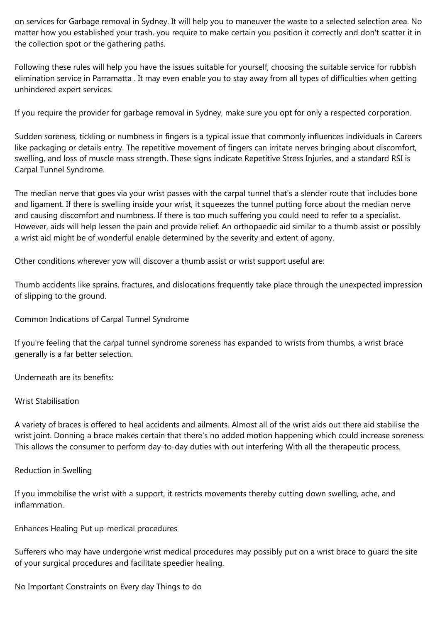on services for Garbage removal in Sydney. It will help you to maneuver the waste to a selected selection area. No matter how you established your trash, you require to make certain you position it correctly and don't scatter it in the collection spot or the gathering paths.

Following these rules will help you have the issues suitable for yourself, choosing the suitable service for rubbish elimination service in Parramatta . It may even enable you to stay away from all types of difficulties when getting unhindered expert services.

If you require the provider for garbage removal in Sydney, make sure you opt for only a respected corporation.

Sudden soreness, tickling or numbness in fingers is a typical issue that commonly influences individuals in Careers like packaging or details entry. The repetitive movement of fingers can irritate nerves bringing about discomfort, swelling, and loss of muscle mass strength. These signs indicate Repetitive Stress Injuries, and a standard RSI is Carpal Tunnel Syndrome.

The median nerve that goes via your wrist passes with the carpal tunnel that's a slender route that includes bone and ligament. If there is swelling inside your wrist, it squeezes the tunnel putting force about the median nerve and causing discomfort and numbness. If there is too much suffering you could need to refer to a specialist. However, aids will help lessen the pain and provide relief. An orthopaedic aid similar to a thumb assist or possibly a wrist aid might be of wonderful enable determined by the severity and extent of agony.

Other conditions wherever yow will discover a thumb assist or wrist support useful are:

Thumb accidents like sprains, fractures, and dislocations frequently take place through the unexpected impression of slipping to the ground.

Common Indications of Carpal Tunnel Syndrome

If you're feeling that the carpal tunnel syndrome soreness has expanded to wrists from thumbs, a wrist brace generally is a far better selection.

Underneath are its benefits:

### Wrist Stabilisation

A variety of braces is offered to heal accidents and ailments. Almost all of the wrist aids out there aid stabilise the wrist joint. Donning a brace makes certain that there's no added motion happening which could increase soreness. This allows the consumer to perform day-to-day duties with out interfering With all the therapeutic process.

#### Reduction in Swelling

If you immobilise the wrist with a support, it restricts movements thereby cutting down swelling, ache, and inflammation.

Enhances Healing Put up-medical procedures

Sufferers who may have undergone wrist medical procedures may possibly put on a wrist brace to guard the site of your surgical procedures and facilitate speedier healing.

No Important Constraints on Every day Things to do